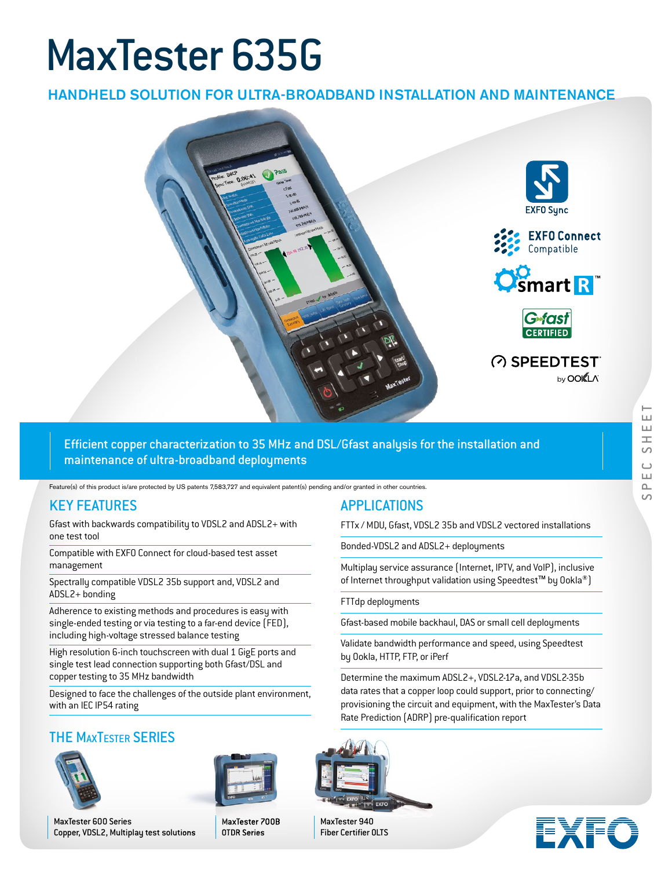# MaxTester 635G

## HANDHELD SOLUTION FOR ULTRA-BROADBAND INSTALLATION AND MAINTENANCE



Efficient copper characterization to 35 MHz and DSL/Gfast analysis for the installation and maintenance of ultra-broadband deployments

Feature(s) of this product is/are protected by US patents 7,583,727 and equivalent patent(s) pending and/or granted in other countries.

#### KEY FEATURES

Gfast with backwards compatibility to VDSL2 and ADSL2+ with one test tool

Compatible with EXFO Connect for cloud-based test asset management

Spectrally compatible VDSL2 35b support and, VDSL2 and ADSL2+ bonding

Adherence to existing methods and procedures is easy with single-ended testing or via testing to a far-end device (FED), including high-voltage stressed balance testing

High resolution 6-inch touchscreen with dual 1 GigE ports and single test lead connection supporting both Gfast/DSL and copper testing to 35 MHz bandwidth

Designed to face the challenges of the outside plant environment, with an IEC IP54 rating

# THE MAXTESTER SERIES





MaxTester 600 Series Copper, VDSL2, Multiplay test solutions MaxTester 700B OTDR Series

#### APPLICATIONS

FTTx / MDU, Gfast, VDSL2 35b and VDSL2 vectored installations

Bonded-VDSL2 and ADSL2+ deployments

Multiplay service assurance (Internet, IPTV, and VoIP), inclusive of Internet throughput validation using Speedtest<sup>™</sup> by Ookla<sup>®</sup>)

FTTdp deployments

Gfast-based mobile backhaul, DAS or small cell deployments

Validate bandwidth performance and speed, using Speedtest by Ookla, HTTP, FTP, or iPerf

Determine the maximum ADSL2+, VDSL2-17a, and VDSL2-35b data rates that a copper loop could support, prior to connecting/ provisioning the circuit and equipment, with the MaxTester's Data Rate Prediction (ADRP) pre-qualification report



MaxTester 940 Fiber Certifier OLTS

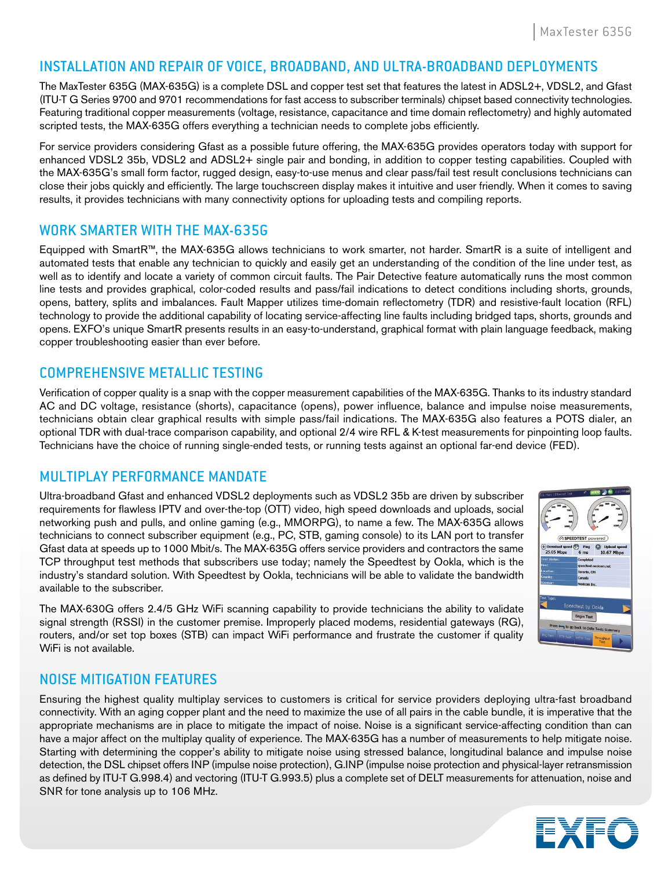#### INSTALLATION AND REPAIR OF VOICE, BROADBAND, AND ULTRA-BROADBAND DEPLOYMENTS

The MaxTester 635G (MAX-635G) is a complete DSL and copper test set that features the latest in ADSL2+, VDSL2, and Gfast (ITU-T G Series 9700 and 9701 recommendations for fast access to subscriber terminals) chipset based connectivity technologies. Featuring traditional copper measurements (voltage, resistance, capacitance and time domain reflectometry) and highly automated scripted tests, the MAX-635G offers everything a technician needs to complete jobs efficiently.

For service providers considering Gfast as a possible future offering, the MAX-635G provides operators today with support for enhanced VDSL2 35b, VDSL2 and ADSL2+ single pair and bonding, in addition to copper testing capabilities. Coupled with the MAX-635G's small form factor, rugged design, easy-to-use menus and clear pass/fail test result conclusions technicians can close their jobs quickly and efficiently. The large touchscreen display makes it intuitive and user friendly. When it comes to saving results, it provides technicians with many connectivity options for uploading tests and compiling reports.

#### WORK SMARTER WITH THE MAX-635G

Equipped with SmartR™, the MAX-635G allows technicians to work smarter, not harder. SmartR is a suite of intelligent and automated tests that enable any technician to quickly and easily get an understanding of the condition of the line under test, as well as to identify and locate a variety of common circuit faults. The Pair Detective feature automatically runs the most common line tests and provides graphical, color-coded results and pass/fail indications to detect conditions including shorts, grounds, opens, battery, splits and imbalances. Fault Mapper utilizes time-domain reflectometry (TDR) and resistive-fault location (RFL) technology to provide the additional capability of locating service-affecting line faults including bridged taps, shorts, grounds and opens. EXFO's unique SmartR presents results in an easy-to-understand, graphical format with plain language feedback, making copper troubleshooting easier than ever before.

#### COMPREHENSIVE METALLIC TESTING

Verification of copper quality is a snap with the copper measurement capabilities of the MAX-635G. Thanks to its industry standard AC and DC voltage, resistance (shorts), capacitance (opens), power influence, balance and impulse noise measurements, technicians obtain clear graphical results with simple pass/fail indications. The MAX-635G also features a POTS dialer, an optional TDR with dual-trace comparison capability, and optional 2/4 wire RFL & K-test measurements for pinpointing loop faults. Technicians have the choice of running single-ended tests, or running tests against an optional far-end device (FED).

#### MULTIPLAY PERFORMANCE MANDATE

Ultra-broadband Gfast and enhanced VDSL2 deployments such as VDSL2 35b are driven by subscriber requirements for flawless IPTV and over-the-top (OTT) video, high speed downloads and uploads, social networking push and pulls, and online gaming (e.g., MMORPG), to name a few. The MAX-635G allows technicians to connect subscriber equipment (e.g., PC, STB, gaming console) to its LAN port to transfer Gfast data at speeds up to 1000 Mbit/s. The MAX-635G offers service providers and contractors the same TCP throughput test methods that subscribers use today; namely the Speedtest by Ookla, which is the industry's standard solution. With Speedtest by Ookla, technicians will be able to validate the bandwidth available to the subscriber.

The MAX-630G offers 2.4/5 GHz WiFi scanning capability to provide technicians the ability to validate signal strength (RSSI) in the customer premise. Improperly placed modems, residential gateways (RG), routers, and/or set top boxes (STB) can impact WiFi performance and frustrate the customer if quality WiFi is not available.



#### NOISE MITIGATION FEATURES

Ensuring the highest quality multiplay services to customers is critical for service providers deploying ultra-fast broadband connectivity. With an aging copper plant and the need to maximize the use of all pairs in the cable bundle, it is imperative that the appropriate mechanisms are in place to mitigate the impact of noise. Noise is a significant service-affecting condition than can have a major affect on the multiplay quality of experience. The MAX-635G has a number of measurements to help mitigate noise. Starting with determining the copper's ability to mitigate noise using stressed balance, longitudinal balance and impulse noise detection, the DSL chipset offers INP (impulse noise protection), G.INP (impulse noise protection and physical-layer retransmission as defined by ITU-T G.998.4) and vectoring (ITU-T G.993.5) plus a complete set of DELT measurements for attenuation, noise and SNR for tone analysis up to 106 MHz.

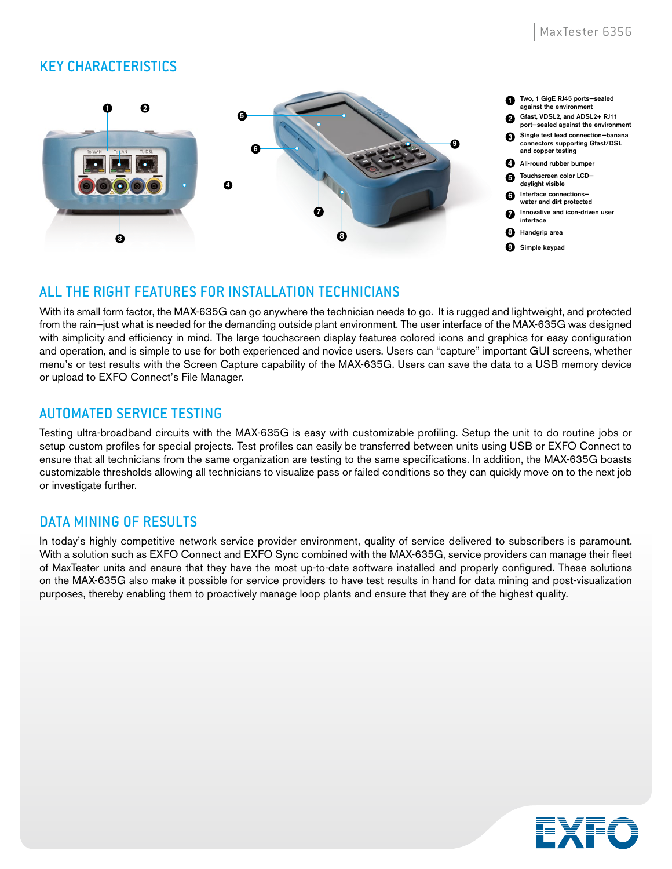#### KEY CHARACTERISTICS



#### ALL THE RIGHT FEATURES FOR INSTALLATION TECHNICIANS

With its small form factor, the MAX-635G can go anywhere the technician needs to go. It is rugged and lightweight, and protected from the rain-just what is needed for the demanding outside plant environment. The user interface of the MAX-635G was designed with simplicity and efficiency in mind. The large touchscreen display features colored icons and graphics for easy configuration and operation, and is simple to use for both experienced and novice users. Users can "capture" important GUI screens, whether menu's or test results with the Screen Capture capability of the MAX-635G. Users can save the data to a USB memory device or upload to EXFO Connect's File Manager.

#### AUTOMATED SERVICE TESTING

Testing ultra-broadband circuits with the MAX-635G is easy with customizable profiling. Setup the unit to do routine jobs or setup custom profiles for special projects. Test profiles can easily be transferred between units using USB or EXFO Connect to ensure that all technicians from the same organization are testing to the same specifications. In addition, the MAX-635G boasts customizable thresholds allowing all technicians to visualize pass or failed conditions so they can quickly move on to the next job or investigate further.

#### DATA MINING OF RESULTS

In today's highly competitive network service provider environment, quality of service delivered to subscribers is paramount. With a solution such as EXFO Connect and EXFO Sync combined with the MAX-635G, service providers can manage their fleet of MaxTester units and ensure that they have the most up-to-date software installed and properly configured. These solutions on the MAX-635G also make it possible for service providers to have test results in hand for data mining and post-visualization purposes, thereby enabling them to proactively manage loop plants and ensure that they are of the highest quality.

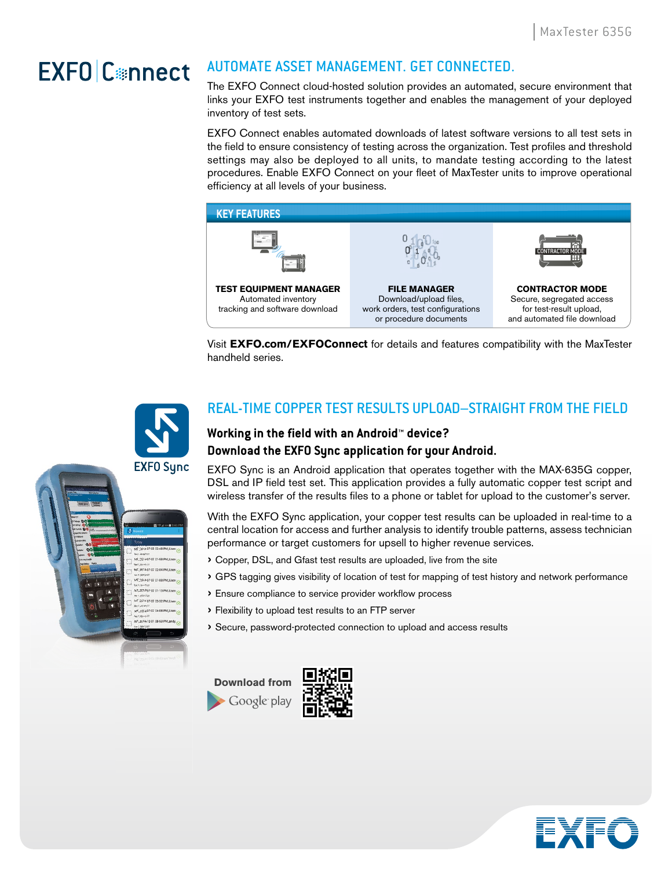# EXFO Connect

# AUTOMATE ASSET MANAGEMENT. GET CONNECTED.

The EXFO Connect cloud-hosted solution provides an automated, secure environment that links your EXFO test instruments together and enables the management of your deployed inventory of test sets.

EXFO Connect enables automated downloads of latest software versions to all test sets in the field to ensure consistency of testing across the organization. Test profiles and threshold settings may also be deployed to all units, to mandate testing according to the latest procedures. Enable EXFO Connect on your fleet of MaxTester units to improve operational efficiency at all levels of your business.



Visit **EXFO.com/EXFOConnect** for details and features compatibility with the MaxTester handheld series.

## REAL-TIME COPPER TEST RESULTS UPLOAD–STRAIGHT FROM THE FIELD

#### **Working in the field with an Android™ device? Download the EXFO Sync application for your Android.**

EXFO Sync is an Android application that operates together with the MAX-635G copper, DSL and IP field test set. This application provides a fully automatic copper test script and wireless transfer of the results files to a phone or tablet for upload to the customer's server.

With the EXFO Sync application, your copper test results can be uploaded in real-time to a central location for access and further analysis to identify trouble patterns, assess technician performance or target customers for upsell to higher revenue services.

- › Copper, DSL, and Gfast test results are uploaded, live from the site
- › GPS tagging gives visibility of location of test for mapping of test history and network performance
- $\rightarrow$  Ensure compliance to service provider workflow process
- › Flexibility to upload test results to an FTP server
- › Secure, password-protected connection to upload and access results







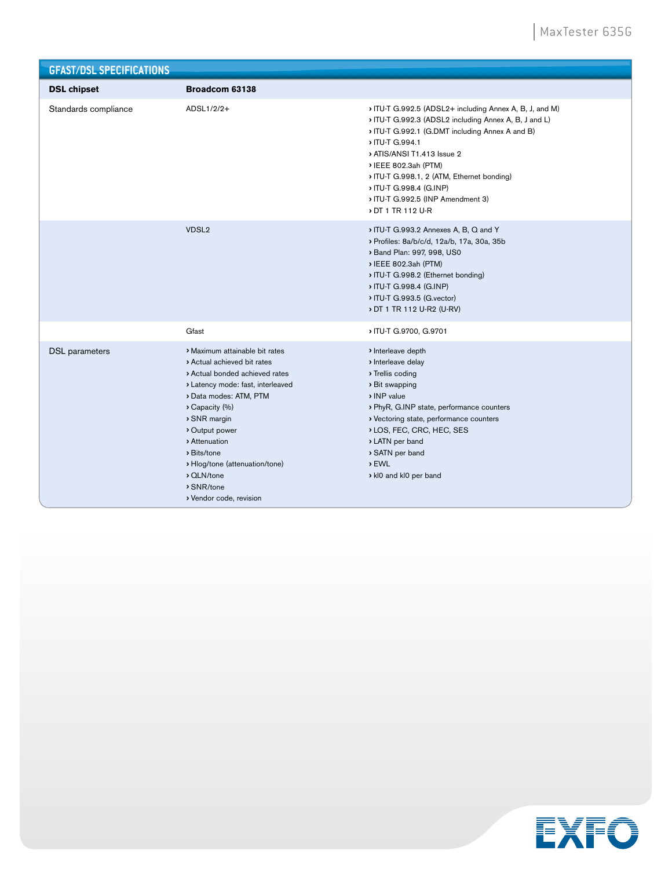| <b>GFAST/DSL SPECIFICATIONS</b> |                                                                                                                                                                                                                                                                                                                                         |                                                                                                                                                                                                                                                                                                                                                                         |
|---------------------------------|-----------------------------------------------------------------------------------------------------------------------------------------------------------------------------------------------------------------------------------------------------------------------------------------------------------------------------------------|-------------------------------------------------------------------------------------------------------------------------------------------------------------------------------------------------------------------------------------------------------------------------------------------------------------------------------------------------------------------------|
| <b>DSL chipset</b>              | Broadcom 63138                                                                                                                                                                                                                                                                                                                          |                                                                                                                                                                                                                                                                                                                                                                         |
| Standards compliance            | ADSL1/2/2+                                                                                                                                                                                                                                                                                                                              | > ITU-T G.992.5 (ADSL2+ including Annex A, B, J, and M)<br>> ITU-T G.992.3 (ADSL2 including Annex A, B, J and L)<br>ITU-T G.992.1 (G.DMT including Annex A and B)<br>> ITU-T G.994.1<br>> ATIS/ANSI T1.413 Issue 2<br>> IEEE 802.3ah (PTM)<br>ITU-T G.998.1, 2 (ATM, Ethernet bonding)<br>ITU-T G.998.4 (G.INP)<br>ITU-T G.992.5 (INP Amendment 3)<br>> DT 1 TR 112 U-R |
|                                 | VDSL <sub>2</sub>                                                                                                                                                                                                                                                                                                                       | > ITU-T G.993.2 Annexes A, B, Q and Y<br>> Profiles: 8a/b/c/d, 12a/b, 17a, 30a, 35b<br>> Band Plan: 997, 998, US0<br>> IEEE 802.3ah (PTM)<br>ITU-T G.998.2 (Ethernet bonding)<br>ITU-T G.998.4 (G.INP)<br>> ITU-T G.993.5 (G.vector)<br>> DT 1 TR 112 U-R2 (U-RV)                                                                                                       |
|                                 | Gfast                                                                                                                                                                                                                                                                                                                                   | > ITU-T G.9700, G.9701                                                                                                                                                                                                                                                                                                                                                  |
| <b>DSL</b> parameters           | > Maximum attainable bit rates<br>> Actual achieved bit rates<br>> Actual bonded achieved rates<br>> Latency mode: fast, interleaved<br>> Data modes: ATM, PTM<br>Capacity (%)<br>> SNR margin<br>Output power<br>> Attenuation<br>> Bits/tone<br>> Hlog/tone (attenuation/tone)<br>> QLN/tone<br>> SNR/tone<br>> Vendor code, revision | > Interleave depth<br>> Interleave delay<br>> Trellis coding<br>> Bit swapping<br>> INP value<br>> PhyR, G.INP state, performance counters<br>> Vectoring state, performance counters<br>> LOS, FEC, CRC, HEC, SES<br>> LATN per band<br>SATN per band<br>> EWL<br>kl0 and kl0 per band                                                                                 |

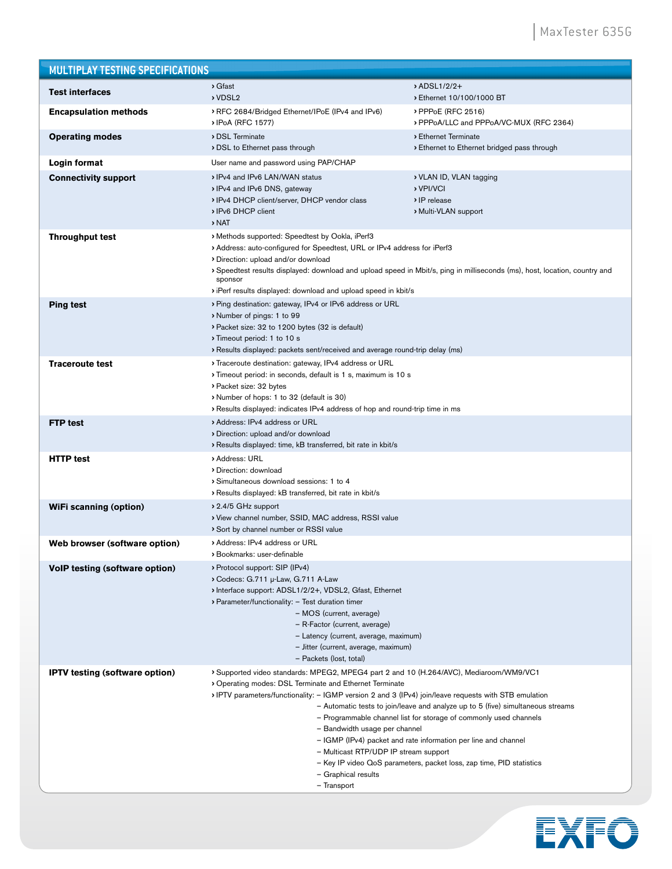| <b>MULTIPLAY TESTING SPECIFICATIONS</b> |                                                                                                                                                                                                                                                                                                                                                                        |                                                                                                                                                                                                                                                                                                |
|-----------------------------------------|------------------------------------------------------------------------------------------------------------------------------------------------------------------------------------------------------------------------------------------------------------------------------------------------------------------------------------------------------------------------|------------------------------------------------------------------------------------------------------------------------------------------------------------------------------------------------------------------------------------------------------------------------------------------------|
| <b>Test interfaces</b>                  | > Gfast<br>> VDSL2                                                                                                                                                                                                                                                                                                                                                     | > ADSL1/2/2+<br>Ethernet 10/100/1000 BT                                                                                                                                                                                                                                                        |
| <b>Encapsulation methods</b>            | RFC 2684/Bridged Ethernet/IPoE (IPv4 and IPv6)<br>> IPoA (RFC 1577)                                                                                                                                                                                                                                                                                                    | > PPPoE (RFC 2516)<br>> PPPoA/LLC and PPPoA/VC-MUX (RFC 2364)                                                                                                                                                                                                                                  |
| <b>Operating modes</b>                  | > DSL Terminate<br>DSL to Ethernet pass through                                                                                                                                                                                                                                                                                                                        | > Ethernet Terminate<br>Ethernet to Ethernet bridged pass through                                                                                                                                                                                                                              |
| Login format                            | User name and password using PAP/CHAP                                                                                                                                                                                                                                                                                                                                  |                                                                                                                                                                                                                                                                                                |
| <b>Connectivity support</b>             | IPv4 and IPv6 LAN/WAN status<br>> IPv4 and IPv6 DNS, gateway<br>> IPv4 DHCP client/server, DHCP vendor class<br>IPv6 DHCP client<br>> NAT                                                                                                                                                                                                                              | > VLAN ID, VLAN tagging<br>> VPI/VCI<br>> IP release<br>> Multi-VLAN support                                                                                                                                                                                                                   |
| <b>Throughput test</b>                  | > Methods supported: Speedtest by Ookla, iPerf3<br>> Address: auto-configured for Speedtest, URL or IPv4 address for iPerf3<br>Direction: upload and/or download<br>sponsor<br>iPerf results displayed: download and upload speed in kbit/s                                                                                                                            | > Speedtest results displayed: download and upload speed in Mbit/s, ping in milliseconds (ms), host, location, country and                                                                                                                                                                     |
| <b>Ping test</b>                        | > Ping destination: gateway, IPv4 or IPv6 address or URL<br>Number of pings: 1 to 99<br>> Packet size: 32 to 1200 bytes (32 is default)<br>Timeout period: 1 to 10 s<br>Results displayed: packets sent/received and average round-trip delay (ms)                                                                                                                     |                                                                                                                                                                                                                                                                                                |
| <b>Traceroute test</b>                  | > Traceroute destination: gateway, IPv4 address or URL<br>> Timeout period: in seconds, default is 1 s, maximum is 10 s<br>> Packet size: 32 bytes<br>Number of hops: 1 to 32 (default is 30)<br>Results displayed: indicates IPv4 address of hop and round-trip time in ms                                                                                            |                                                                                                                                                                                                                                                                                                |
| <b>FTP</b> test                         | > Address: IPv4 address or URL<br>Direction: upload and/or download<br>Results displayed: time, kB transferred, bit rate in kbit/s                                                                                                                                                                                                                                     |                                                                                                                                                                                                                                                                                                |
| <b>HTTP test</b>                        | > Address: URL<br>Direction: download<br>Simultaneous download sessions: 1 to 4<br>Results displayed: kB transferred, bit rate in kbit/s                                                                                                                                                                                                                               |                                                                                                                                                                                                                                                                                                |
| <b>WiFi scanning (option)</b>           | > 2.4/5 GHz support<br>View channel number, SSID, MAC address, RSSI value<br>Sort by channel number or RSSI value                                                                                                                                                                                                                                                      |                                                                                                                                                                                                                                                                                                |
| Web browser (software option)           | > Address: IPv4 address or URL<br>› Bookmarks: user-definable                                                                                                                                                                                                                                                                                                          |                                                                                                                                                                                                                                                                                                |
| VolP testing (software option)          | > Protocol support: SIP (IPv4)<br>> Codecs: G.711 µ-Law, G.711 A-Law<br>> Interface support: ADSL1/2/2+, VDSL2, Gfast, Ethernet<br>> Parameter/functionality: - Test duration timer<br>- MOS (current, average)<br>- R-Factor (current, average)<br>- Latency (current, average, maximum)<br>- Jitter (current, average, maximum)<br>- Packets (lost, total)           |                                                                                                                                                                                                                                                                                                |
| <b>IPTV</b> testing (software option)   | > Supported video standards: MPEG2, MPEG4 part 2 and 10 (H.264/AVC), Mediaroom/WM9/VC1<br>Operating modes: DSL Terminate and Ethernet Terminate<br>IPTV parameters/functionality: - IGMP version 2 and 3 (IPv4) join/leave requests with STB emulation<br>- Bandwidth usage per channel<br>- Multicast RTP/UDP IP stream support<br>- Graphical results<br>- Transport | - Automatic tests to join/leave and analyze up to 5 (five) simultaneous streams<br>- Programmable channel list for storage of commonly used channels<br>- IGMP (IPv4) packet and rate information per line and channel<br>- Key IP video QoS parameters, packet loss, zap time, PID statistics |

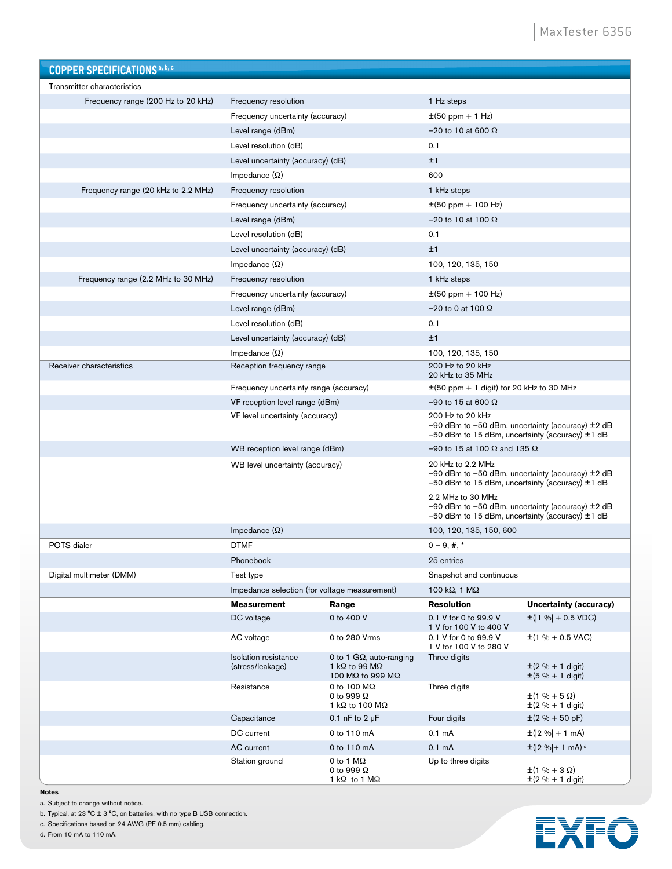| <b>COPPER SPECIFICATIONS a, b, c</b> |                                                 |                                                                                      |                                                 |                                                                                                                     |
|--------------------------------------|-------------------------------------------------|--------------------------------------------------------------------------------------|-------------------------------------------------|---------------------------------------------------------------------------------------------------------------------|
| Transmitter characteristics          |                                                 |                                                                                      |                                                 |                                                                                                                     |
| Frequency range (200 Hz to 20 kHz)   | Frequency resolution                            |                                                                                      | 1 Hz steps                                      |                                                                                                                     |
|                                      | Frequency uncertainty (accuracy)                |                                                                                      | $\pm (50$ ppm + 1 Hz)                           |                                                                                                                     |
|                                      | Level range (dBm)                               |                                                                                      | $-20$ to 10 at 600 $\Omega$                     |                                                                                                                     |
|                                      | Level resolution (dB)                           |                                                                                      | 0.1                                             |                                                                                                                     |
|                                      | Level uncertainty (accuracy) (dB)               |                                                                                      | ±1                                              |                                                                                                                     |
|                                      | Impedance $(\Omega)$                            |                                                                                      | 600                                             |                                                                                                                     |
| Frequency range (20 kHz to 2.2 MHz)  | Frequency resolution                            |                                                                                      | 1 kHz steps                                     |                                                                                                                     |
|                                      | Frequency uncertainty (accuracy)                |                                                                                      | $\pm$ (50 ppm + 100 Hz)                         |                                                                                                                     |
|                                      | Level range (dBm)                               |                                                                                      | $-20$ to 10 at 100 $\Omega$                     |                                                                                                                     |
|                                      | Level resolution (dB)                           |                                                                                      | 0.1                                             |                                                                                                                     |
|                                      | Level uncertainty (accuracy) (dB)               |                                                                                      | ±1                                              |                                                                                                                     |
|                                      | Impedance $(\Omega)$                            |                                                                                      | 100, 120, 135, 150                              |                                                                                                                     |
| Frequency range (2.2 MHz to 30 MHz)  | Frequency resolution                            |                                                                                      | 1 kHz steps                                     |                                                                                                                     |
|                                      | Frequency uncertainty (accuracy)                |                                                                                      | $\pm$ (50 ppm + 100 Hz)                         |                                                                                                                     |
|                                      | Level range (dBm)                               |                                                                                      | $-20$ to 0 at 100 $\Omega$                      |                                                                                                                     |
|                                      | Level resolution (dB)                           |                                                                                      | 0.1                                             |                                                                                                                     |
|                                      | Level uncertainty (accuracy) (dB)               |                                                                                      | ±1                                              |                                                                                                                     |
|                                      | Impedance $(\Omega)$                            |                                                                                      | 100, 120, 135, 150                              |                                                                                                                     |
| Receiver characteristics             | Reception frequency range                       |                                                                                      | 200 Hz to 20 kHz<br>20 kHz to 35 MHz            |                                                                                                                     |
|                                      | Frequency uncertainty range (accuracy)          |                                                                                      | $\pm$ (50 ppm + 1 digit) for 20 kHz to 30 MHz   |                                                                                                                     |
|                                      | VF reception level range (dBm)                  |                                                                                      | $-90$ to 15 at 600 $\Omega$                     |                                                                                                                     |
|                                      | VF level uncertainty (accuracy)                 |                                                                                      | 200 Hz to 20 kHz                                | $-90$ dBm to $-50$ dBm, uncertainty (accuracy) $\pm 2$ dB<br>$-50$ dBm to 15 dBm, uncertainty (accuracy) $\pm$ 1 dB |
|                                      | WB reception level range (dBm)                  |                                                                                      | -90 to 15 at 100 $\Omega$ and 135 $\Omega$      |                                                                                                                     |
|                                      | WB level uncertainty (accuracy)                 |                                                                                      | 20 kHz to 2.2 MHz<br>2.2 MHz to 30 MHz          | -90 dBm to -50 dBm, uncertainty (accuracy) ±2 dB<br>$-50$ dBm to 15 dBm, uncertainty (accuracy) $\pm$ 1 dB          |
|                                      |                                                 |                                                                                      |                                                 | $-90$ dBm to $-50$ dBm, uncertainty (accuracy) $\pm 2$ dB<br>$-50$ dBm to 15 dBm, uncertainty (accuracy) $\pm$ 1 dB |
|                                      | Impedance $(\Omega)$                            |                                                                                      | 100, 120, 135, 150, 600                         |                                                                                                                     |
| POTS dialer                          | <b>DTMF</b>                                     |                                                                                      | $0 - 9, \#$ , *                                 |                                                                                                                     |
|                                      | Phonebook                                       |                                                                                      | 25 entries                                      |                                                                                                                     |
| Digital multimeter (DMM)             | Test type                                       |                                                                                      | Snapshot and continuous                         |                                                                                                                     |
|                                      | Impedance selection (for voltage measurement)   |                                                                                      | 100 k $\Omega$ , 1 M $\Omega$                   |                                                                                                                     |
|                                      | <b>Measurement</b>                              | Range                                                                                | <b>Resolution</b>                               | Uncertainty (accuracy)                                                                                              |
|                                      | DC voltage                                      | 0 to 400 V                                                                           | 0.1 V for 0 to 99.9 V<br>1 V for 100 V to 400 V | $\pm$ ( 1 %  + 0.5 VDC)                                                                                             |
|                                      | AC voltage                                      | 0 to 280 Vrms                                                                        | 0.1 V for 0 to 99.9 V<br>1 V for 100 V to 280 V | $\pm$ (1 % + 0.5 VAC)                                                                                               |
|                                      | <b>Isolation resistance</b><br>(stress/leakage) | 0 to 1 $G\Omega$ , auto-ranging<br>1 k $\Omega$ to 99 M $\Omega$<br>100 MΩ to 999 MΩ | Three digits                                    | $\pm (2 \% + 1$ digit)<br>$\pm (5 \% + 1$ digit)                                                                    |
|                                      | Resistance                                      | 0 to 100 $M\Omega$<br>0 to 999 $\Omega$<br>1 k $\Omega$ to 100 M $\Omega$            | Three digits                                    | $\pm(1\% + 5\Omega)$<br>$\pm (2 \% + 1$ digit)                                                                      |
|                                      | Capacitance                                     | 0.1 nF to $2 \mu F$                                                                  | Four digits                                     | $\pm (2\% + 50 \text{ pF})$                                                                                         |
|                                      | DC current                                      | 0 to 110 mA                                                                          | 0.1 <sub>m</sub> A                              | $\pm$ ( 2 %  + 1 mA)                                                                                                |
|                                      | AC current                                      | 0 to 110 mA                                                                          | 0.1 <sub>m</sub> A                              | $\pm$ ( 2 % + 1 mA) <sup>d</sup>                                                                                    |
|                                      | Station ground                                  | 0 to 1 $M\Omega$<br>0 to 999 $\Omega$<br>1 k $\Omega$ to 1 M $\Omega$                | Up to three digits                              | $\pm(1 \% + 3 \Omega)$<br>$\pm (2 \% + 1$ digit)                                                                    |

**Notes** 

a. Subject to change without notice.

b. Typical, at 23 °C  $\pm$  3 °C, on batteries, with no type B USB connection.

c. Specifications based on 24 AWG (PE 0.5 mm) cabling.

d. From 10 mA to 110 mA.

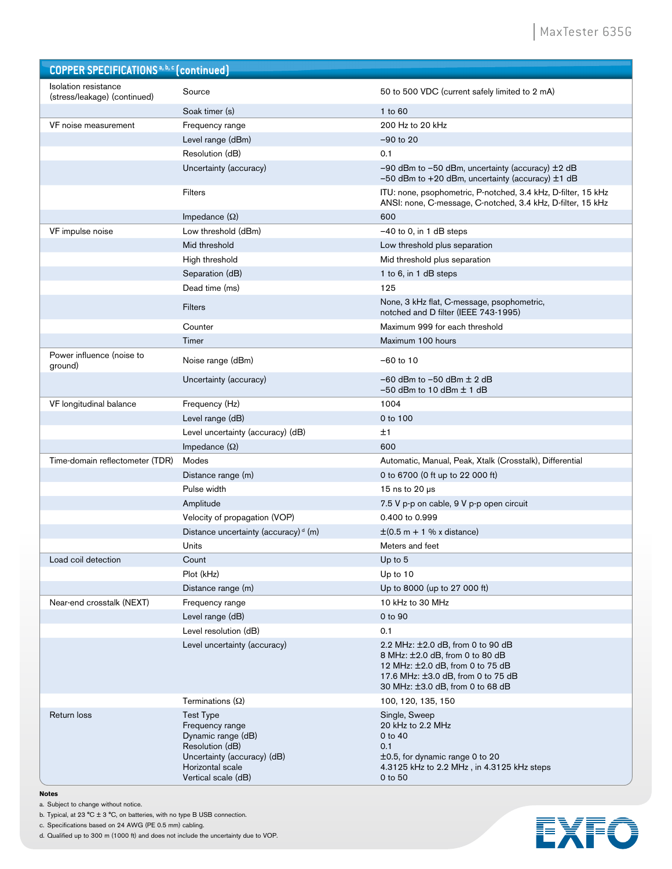| <b>COPPER SPECIFICATIONS</b> <sup>a, b, c</sup> (continued) |                                                                                                                                                        |                                                                                                                                                                                    |
|-------------------------------------------------------------|--------------------------------------------------------------------------------------------------------------------------------------------------------|------------------------------------------------------------------------------------------------------------------------------------------------------------------------------------|
| <b>Isolation resistance</b><br>(stress/leakage) (continued) | Source                                                                                                                                                 | 50 to 500 VDC (current safely limited to 2 mA)                                                                                                                                     |
|                                                             | Soak timer (s)                                                                                                                                         | 1 to 60                                                                                                                                                                            |
| VF noise measurement                                        | Frequency range                                                                                                                                        | 200 Hz to 20 kHz                                                                                                                                                                   |
|                                                             | Level range (dBm)                                                                                                                                      | $-90$ to 20                                                                                                                                                                        |
|                                                             | Resolution (dB)                                                                                                                                        | 0.1                                                                                                                                                                                |
|                                                             | Uncertainty (accuracy)                                                                                                                                 | $-90$ dBm to $-50$ dBm, uncertainty (accuracy) $\pm 2$ dB<br>-50 dBm to +20 dBm, uncertainty (accuracy) $\pm$ 1 dB                                                                 |
|                                                             | <b>Filters</b>                                                                                                                                         | ITU: none, psophometric, P-notched, 3.4 kHz, D-filter, 15 kHz<br>ANSI: none, C-message, C-notched, 3.4 kHz, D-filter, 15 kHz                                                       |
|                                                             | Impedance $(\Omega)$                                                                                                                                   | 600                                                                                                                                                                                |
| VF impulse noise                                            | Low threshold (dBm)                                                                                                                                    | $-40$ to 0, in 1 dB steps                                                                                                                                                          |
|                                                             | Mid threshold                                                                                                                                          | Low threshold plus separation                                                                                                                                                      |
|                                                             | High threshold                                                                                                                                         | Mid threshold plus separation                                                                                                                                                      |
|                                                             | Separation (dB)                                                                                                                                        | 1 to 6, in 1 dB steps                                                                                                                                                              |
|                                                             | Dead time (ms)                                                                                                                                         | 125                                                                                                                                                                                |
|                                                             | <b>Filters</b>                                                                                                                                         | None, 3 kHz flat, C-message, psophometric,<br>notched and D filter (IEEE 743-1995)                                                                                                 |
|                                                             | Counter                                                                                                                                                | Maximum 999 for each threshold                                                                                                                                                     |
|                                                             | Timer                                                                                                                                                  | Maximum 100 hours                                                                                                                                                                  |
| Power influence (noise to<br>ground)                        | Noise range (dBm)                                                                                                                                      | $-60$ to 10                                                                                                                                                                        |
|                                                             | Uncertainty (accuracy)                                                                                                                                 | $-60$ dBm to $-50$ dBm $\pm$ 2 dB<br>$-50$ dBm to 10 dBm $\pm$ 1 dB                                                                                                                |
| VF longitudinal balance                                     | Frequency (Hz)                                                                                                                                         | 1004                                                                                                                                                                               |
|                                                             | Level range (dB)                                                                                                                                       | 0 to 100                                                                                                                                                                           |
|                                                             | Level uncertainty (accuracy) (dB)                                                                                                                      | ±1                                                                                                                                                                                 |
|                                                             | Impedance $(\Omega)$                                                                                                                                   | 600                                                                                                                                                                                |
| Time-domain reflectometer (TDR)                             | Modes                                                                                                                                                  | Automatic, Manual, Peak, Xtalk (Crosstalk), Differential                                                                                                                           |
|                                                             | Distance range (m)                                                                                                                                     | 0 to 6700 (0 ft up to 22 000 ft)                                                                                                                                                   |
|                                                             | Pulse width                                                                                                                                            | 15 ns to $20 \mu s$                                                                                                                                                                |
|                                                             | Amplitude                                                                                                                                              | 7.5 V p-p on cable, 9 V p-p open circuit                                                                                                                                           |
|                                                             | Velocity of propagation (VOP)                                                                                                                          | 0.400 to 0.999                                                                                                                                                                     |
|                                                             | Distance uncertainty (accuracy) <sup>d</sup> (m)                                                                                                       | $\pm$ (0.5 m + 1 % x distance)                                                                                                                                                     |
|                                                             | Units                                                                                                                                                  | Meters and feet                                                                                                                                                                    |
| Load coil detection                                         | Count                                                                                                                                                  | Up to 5                                                                                                                                                                            |
|                                                             | Plot (kHz)                                                                                                                                             | Up to 10                                                                                                                                                                           |
|                                                             | Distance range (m)                                                                                                                                     | Up to 8000 (up to 27 000 ft)                                                                                                                                                       |
| Near-end crosstalk (NEXT)                                   | Frequency range                                                                                                                                        | 10 kHz to 30 MHz                                                                                                                                                                   |
|                                                             | Level range (dB)                                                                                                                                       | 0 to 90                                                                                                                                                                            |
|                                                             | Level resolution (dB)                                                                                                                                  | 0.1                                                                                                                                                                                |
|                                                             | Level uncertainty (accuracy)                                                                                                                           | 2.2 MHz: ±2.0 dB, from 0 to 90 dB<br>8 MHz: ±2.0 dB, from 0 to 80 dB<br>12 MHz: ±2.0 dB, from 0 to 75 dB<br>17.6 MHz: ±3.0 dB, from 0 to 75 dB<br>30 MHz: ±3.0 dB, from 0 to 68 dB |
|                                                             | Terminations $(\Omega)$                                                                                                                                | 100, 120, 135, 150                                                                                                                                                                 |
| Return loss                                                 | <b>Test Type</b><br>Frequency range<br>Dynamic range (dB)<br>Resolution (dB)<br>Uncertainty (accuracy) (dB)<br>Horizontal scale<br>Vertical scale (dB) | Single, Sweep<br>20 kHz to 2.2 MHz<br>$0$ to $40$<br>0.1<br>$\pm$ 0.5, for dynamic range 0 to 20<br>4.3125 kHz to 2.2 MHz, in 4.3125 kHz steps<br>0 to 50                          |

**Notes** 

a. Subject to change without notice.

b. Typical, at 23  $^{\circ}$ C  $\pm$  3  $^{\circ}$ C, on batteries, with no type B USB connection.

c. Specifications based on 24 AWG (PE 0.5 mm) cabling.

d. Qualified up to 300 m (1000 ft) and does not include the uncertainty due to VOP.

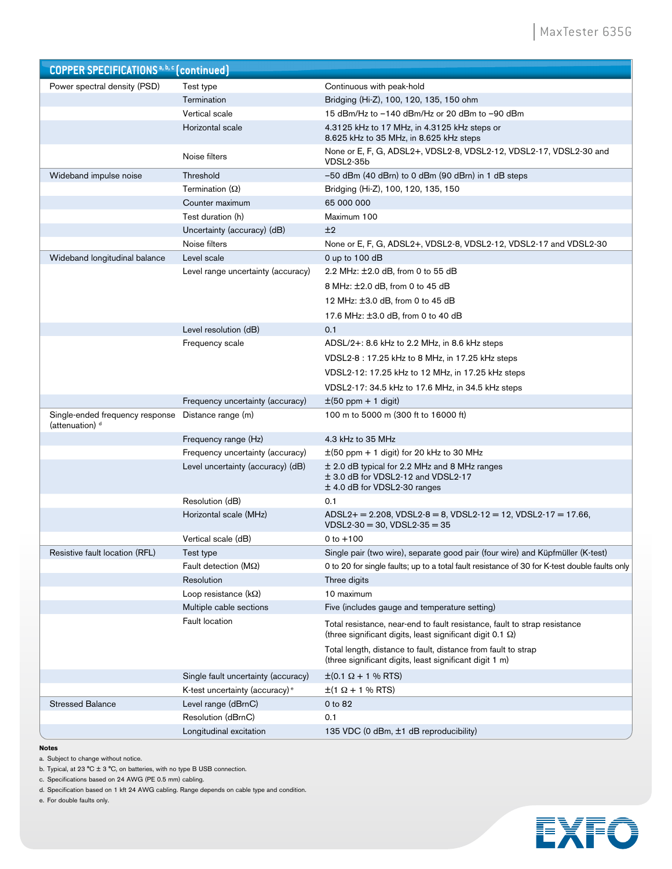| <b>COPPER SPECIFICATIONS</b> <sup>a, b, c</sup> (continued)   |                                            |                                                                                                                                                |
|---------------------------------------------------------------|--------------------------------------------|------------------------------------------------------------------------------------------------------------------------------------------------|
| Power spectral density (PSD)                                  | Test type                                  | Continuous with peak-hold                                                                                                                      |
|                                                               | Termination                                | Bridging (Hi-Z), 100, 120, 135, 150 ohm                                                                                                        |
|                                                               | Vertical scale                             | 15 dBm/Hz to -140 dBm/Hz or 20 dBm to -90 dBm                                                                                                  |
|                                                               | Horizontal scale                           | 4.3125 kHz to 17 MHz, in 4.3125 kHz steps or<br>8.625 kHz to 35 MHz, in 8.625 kHz steps                                                        |
|                                                               | Noise filters                              | None or E, F, G, ADSL2+, VDSL2-8, VDSL2-12, VDSL2-17, VDSL2-30 and<br>VDSL2-35b                                                                |
| Wideband impulse noise                                        | Threshold                                  | $-50$ dBm (40 dBrn) to 0 dBm (90 dBrn) in 1 dB steps                                                                                           |
|                                                               | Termination $(\Omega)$                     | Bridging (Hi-Z), 100, 120, 135, 150                                                                                                            |
|                                                               | Counter maximum                            | 65 000 000                                                                                                                                     |
|                                                               | Test duration (h)                          | Maximum 100                                                                                                                                    |
|                                                               | Uncertainty (accuracy) (dB)                | ±2                                                                                                                                             |
|                                                               | Noise filters                              | None or E, F, G, ADSL2+, VDSL2-8, VDSL2-12, VDSL2-17 and VDSL2-30                                                                              |
| Wideband longitudinal balance                                 | Level scale                                | 0 up to $100$ dB                                                                                                                               |
|                                                               | Level range uncertainty (accuracy)         | 2.2 MHz: ±2.0 dB, from 0 to 55 dB                                                                                                              |
|                                                               |                                            | 8 MHz: ±2.0 dB, from 0 to 45 dB                                                                                                                |
|                                                               |                                            | 12 MHz: ±3.0 dB, from 0 to 45 dB                                                                                                               |
|                                                               |                                            | 17.6 MHz: ±3.0 dB, from 0 to 40 dB                                                                                                             |
|                                                               | Level resolution (dB)                      | 0.1                                                                                                                                            |
|                                                               | Frequency scale                            | ADSL/2+: 8.6 kHz to 2.2 MHz, in 8.6 kHz steps                                                                                                  |
|                                                               |                                            | VDSL2-8 : 17.25 kHz to 8 MHz, in 17.25 kHz steps                                                                                               |
|                                                               |                                            | VDSL2-12: 17.25 kHz to 12 MHz, in 17.25 kHz steps                                                                                              |
|                                                               |                                            | VDSL2-17: 34.5 kHz to 17.6 MHz, in 34.5 kHz steps                                                                                              |
|                                                               | Frequency uncertainty (accuracy)           | $\pm$ (50 ppm + 1 digit)                                                                                                                       |
| Single-ended frequency response<br>(attenuation) <sup>d</sup> | Distance range (m)                         | 100 m to 5000 m (300 ft to 16000 ft)                                                                                                           |
|                                                               | Frequency range (Hz)                       | 4.3 kHz to 35 MHz                                                                                                                              |
|                                                               | Frequency uncertainty (accuracy)           | $\pm$ (50 ppm + 1 digit) for 20 kHz to 30 MHz                                                                                                  |
|                                                               | Level uncertainty (accuracy) (dB)          | $\pm$ 2.0 dB typical for 2.2 MHz and 8 MHz ranges<br>$\pm$ 3.0 dB for VDSL2-12 and VDSL2-17<br>± 4.0 dB for VDSL2-30 ranges                    |
|                                                               | Resolution (dB)                            | 0.1                                                                                                                                            |
|                                                               | Horizontal scale (MHz)                     | $ADSL2+ = 2.208$ , $VDSL2-8 = 8$ , $VDSL2-12 = 12$ , $VDSL2-17 = 17.66$ ,<br>$VDSL2-30 = 30$ , $VDSL2-35 = 35$                                 |
|                                                               | Vertical scale (dB)                        | 0 to $+100$                                                                                                                                    |
| Resistive fault location (RFL)                                | Test type                                  | Single pair (two wire), separate good pair (four wire) and Küpfmüller (K-test)                                                                 |
|                                                               | Fault detection ( $M\Omega$ )              | 0 to 20 for single faults; up to a total fault resistance of 30 for K-test double faults only                                                  |
|                                                               | Resolution                                 | Three digits                                                                                                                                   |
|                                                               | Loop resistance ( $k\Omega$ )              | 10 maximum                                                                                                                                     |
|                                                               | Multiple cable sections                    | Five (includes gauge and temperature setting)                                                                                                  |
|                                                               | <b>Fault location</b>                      | Total resistance, near-end to fault resistance, fault to strap resistance<br>(three significant digits, least significant digit 0.1 $\Omega$ ) |
|                                                               |                                            | Total length, distance to fault, distance from fault to strap<br>(three significant digits, least significant digit 1 m)                       |
|                                                               | Single fault uncertainty (accuracy)        | $\pm (0.1 \Omega + 1 \% \text{RTS})$                                                                                                           |
|                                                               | K-test uncertainty (accuracy) <sup>e</sup> | $\pm (1 \Omega + 1 \% \text{RTS})$                                                                                                             |
| <b>Stressed Balance</b>                                       | Level range (dBrnC)                        | 0 to 82                                                                                                                                        |
|                                                               | Resolution (dBrnC)                         | 0.1                                                                                                                                            |
|                                                               | Longitudinal excitation                    | 135 VDC (0 dBm, ±1 dB reproducibility)                                                                                                         |

#### **Notes**

a. Subject to change without notice.

b. Typical, at 23 °C  $\pm$  3 °C, on batteries, with no type B USB connection.

c. Specifications based on 24 AWG (PE 0.5 mm) cabling.

d. Specification based on 1 kft 24 AWG cabling. Range depends on cable type and condition.

e. For double faults only.

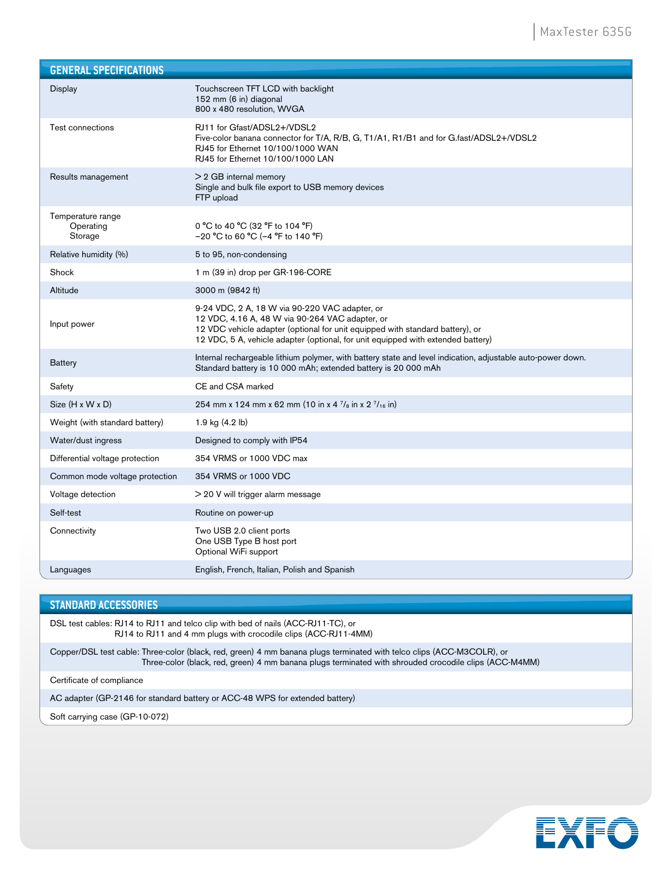| <b>GENERAL SPECIFICATIONS</b>             |                                                                                                                                                                                                                                                                        |
|-------------------------------------------|------------------------------------------------------------------------------------------------------------------------------------------------------------------------------------------------------------------------------------------------------------------------|
| Display                                   | Touchscreen TFT LCD with backlight<br>152 mm (6 in) diagonal<br>800 x 480 resolution, WVGA                                                                                                                                                                             |
| Test connections                          | RJ11 for Gfast/ADSL2+/VDSL2<br>Five-color banana connector for T/A, R/B, G, T1/A1, R1/B1 and for G.fast/ADSL2+/VDSL2<br>RJ45 for Ethernet 10/100/1000 WAN<br>RJ45 for Ethernet 10/100/1000 LAN                                                                         |
| Results management                        | $>$ 2 GB internal memory<br>Single and bulk file export to USB memory devices<br>FTP upload                                                                                                                                                                            |
| Temperature range<br>Operating<br>Storage | 0 °C to 40 °C (32 °F to 104 °F)<br>$-20$ °C to 60 °C (-4 °F to 140 °F)                                                                                                                                                                                                 |
| Relative humidity (%)                     | 5 to 95, non-condensing                                                                                                                                                                                                                                                |
| Shock                                     | 1 m (39 in) drop per GR-196-CORE                                                                                                                                                                                                                                       |
| Altitude                                  | 3000 m (9842 ft)                                                                                                                                                                                                                                                       |
| Input power                               | 9-24 VDC, 2 A, 18 W via 90-220 VAC adapter, or<br>12 VDC, 4.16 A, 48 W via 90-264 VAC adapter, or<br>12 VDC vehicle adapter (optional for unit equipped with standard battery), or<br>12 VDC, 5 A, vehicle adapter (optional, for unit equipped with extended battery) |
| <b>Battery</b>                            | Internal rechargeable lithium polymer, with battery state and level indication, adjustable auto-power down.<br>Standard battery is 10 000 mAh; extended battery is 20 000 mAh                                                                                          |
| Safety                                    | CE and CSA marked                                                                                                                                                                                                                                                      |
| $Size (H \times W \times D)$              | 254 mm x 124 mm x 62 mm (10 in x 4 $\frac{7}{8}$ in x 2 $\frac{7}{16}$ in)                                                                                                                                                                                             |
| Weight (with standard battery)            | 1.9 kg (4.2 lb)                                                                                                                                                                                                                                                        |
| Water/dust ingress                        | Designed to comply with IP54                                                                                                                                                                                                                                           |
| Differential voltage protection           | 354 VRMS or 1000 VDC max                                                                                                                                                                                                                                               |
| Common mode voltage protection            | 354 VRMS or 1000 VDC                                                                                                                                                                                                                                                   |
| Voltage detection                         | > 20 V will trigger alarm message                                                                                                                                                                                                                                      |
| Self-test                                 | Routine on power-up                                                                                                                                                                                                                                                    |
| Connectivity                              | Two USB 2.0 client ports<br>One USB Type B host port<br>Optional WiFi support                                                                                                                                                                                          |
| Languages                                 | English, French, Italian, Polish and Spanish                                                                                                                                                                                                                           |

#### **STANDARD ACCESSORIES**

DSL test cables: RJ14 to RJ11 and telco clip with bed of nails (ACC-RJ11-TC), or RJ14 to RJ11 and 4 mm plugs with crocodile clips (ACC-RJ11-4MM)

Copper/DSL test cable: Three-color (black, red, green) 4 mm banana plugs terminated with telco clips (ACC-M3COLR), or Three-color (black, red, green) 4 mm banana plugs terminated with shrouded crocodile clips (ACC-M4MM)

Certificate of compliance

AC adapter (GP-2146 for standard battery or ACC-48 WPS for extended battery)

Soft carrying case (GP-10-072)

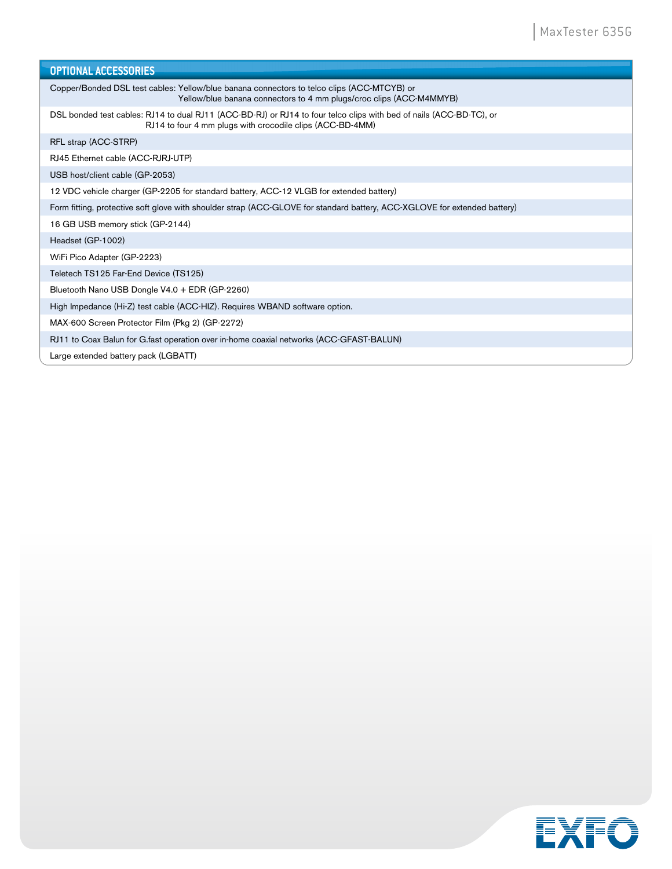| <b>OPTIONAL ACCESSORIES</b>                                                                                                                                                      |
|----------------------------------------------------------------------------------------------------------------------------------------------------------------------------------|
| Copper/Bonded DSL test cables: Yellow/blue banana connectors to telco clips (ACC-MTCYB) or<br>Yellow/blue banana connectors to 4 mm plugs/croc clips (ACC-M4MMYB)                |
| DSL bonded test cables: RJ14 to dual RJ11 (ACC-BD-RJ) or RJ14 to four telco clips with bed of nails (ACC-BD-TC), or<br>RJ14 to four 4 mm plugs with crocodile clips (ACC-BD-4MM) |
| RFL strap (ACC-STRP)                                                                                                                                                             |
| RJ45 Ethernet cable (ACC-RJRJ-UTP)                                                                                                                                               |
| USB host/client cable (GP-2053)                                                                                                                                                  |
| 12 VDC vehicle charger (GP-2205 for standard battery, ACC-12 VLGB for extended battery)                                                                                          |
| Form fitting, protective soft glove with shoulder strap (ACC-GLOVE for standard battery, ACC-XGLOVE for extended battery)                                                        |
| 16 GB USB memory stick (GP-2144)                                                                                                                                                 |
| Headset (GP-1002)                                                                                                                                                                |
| WiFi Pico Adapter (GP-2223)                                                                                                                                                      |
| Teletech TS125 Far-End Device (TS125)                                                                                                                                            |
| Bluetooth Nano USB Dongle V4.0 + EDR (GP-2260)                                                                                                                                   |
| High Impedance (Hi-Z) test cable (ACC-HIZ). Requires WBAND software option.                                                                                                      |
| MAX-600 Screen Protector Film (Pkg 2) (GP-2272)                                                                                                                                  |
| RJ11 to Coax Balun for G.fast operation over in-home coaxial networks (ACC-GFAST-BALUN)                                                                                          |
| Large extended battery pack (LGBATT)                                                                                                                                             |